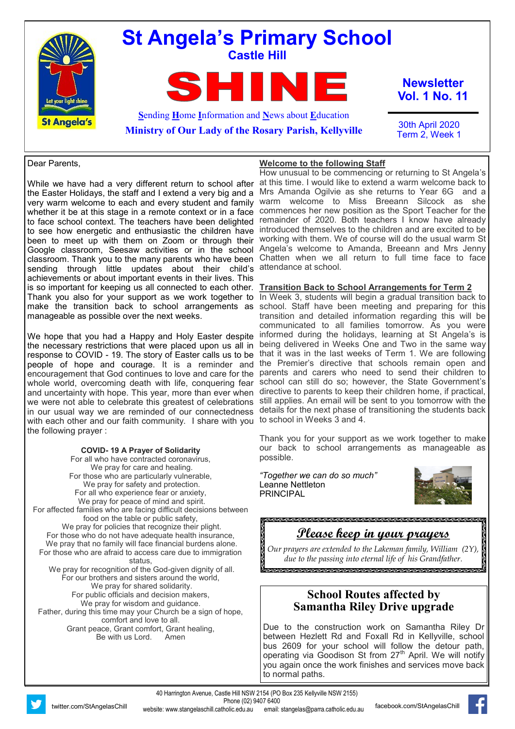

### Dear Parents,

While we have had a very different return to school after the Easter Holidays, the staff and I extend a very big and a very warm welcome to each and every student and family been to meet up with them on Zoom or through their Google classroom, Seesaw activities or in the school classroom. Thank you to the many parents who have been sending through little updates about their child's attendance at school. achievements or about important events in their lives. This is so important for keeping us all connected to each other. manageable as possible over the next weeks.

We hope that you had a Happy and Holy Easter despite the necessary restrictions that were placed upon us all in response to COVID - 19. The story of Easter calls us to be people of hope and courage. It is a reminder and encouragement that God continues to love and care for the and uncertainty with hope. This year, more than ever when we were not able to celebrate this greatest of celebrations in our usual way we are reminded of our connectedness with each other and our faith community. I share with you to school in Weeks 3 and 4. the following prayer :

### **COVID- 19 A Prayer of Solidarity**

For all who have contracted coronavirus, We pray for care and healing. For those who are particularly vulnerable, We pray for safety and protection. For all who experience fear or anxiety, We pray for peace of mind and spirit. For affected families who are facing difficult decisions between food on the table or public safety, We pray for policies that recognize their plight. For those who do not have adequate health insurance, We pray that no family will face financial burdens alone. For those who are afraid to access care due to immigration status, We pray for recognition of the God-given dignity of all. For our brothers and sisters around the world, We pray for shared solidarity. For public officials and decision makers, We pray for wisdom and guidance. Father, during this time may your Church be a sign of hope, comfort and love to all. Grant peace, Grant comfort, Grant healing, Be with us Lord. Amen

whether it be at this stage in a remote context or in a face commences her new position as the Sport Teacher for the to face school context. The teachers have been delighted remainder of 2020. Both teachers I know have already to see how energetic and enthusiastic the children have introduced themselves to the children and are excited to be How unusual to be commencing or returning to St Angela's at this time. I would like to extend a warm welcome back to Mrs Amanda Ogilvie as she returns to Year 6G and a warm welcome to Miss Breeann Silcock as she working with them. We of course will do the usual warm St Angela's welcome to Amanda, Breeann and Mrs Jenny Chatten when we all return to full time face to face

**Welcome to the following Staff**

### **Transition Back to School Arrangements for Term 2**

Thank you also for your support as we work together to In Week 3, students will begin a gradual transition back to make the transition back to school arrangements as school. Staff have been meeting and preparing for this whole world, overcoming death with life, conquering fear school can still do so; however, the State Government's transition and detailed information regarding this will be communicated to all families tomorrow. As you were informed during the holidays, learning at St Angela's is being delivered in Weeks One and Two in the same way that it was in the last weeks of Term 1. We are following the Premier's directive that schools remain open and parents and carers who need to send their children to directive to parents to keep their children home, if practical, still applies. An email will be sent to you tomorrow with the details for the next phase of transitioning the students back

> Thank you for your support as we work together to make our back to school arrangements as manageable as possible.

*"Together we can do so much"* Leanne Nettleton **PRINCIPAL** 



**Please keep in your prayers**

*Our prayers are extended to the Lakeman family, William (2Y), due to the passing into eternal life of his Grandfather.*.<br>Tanta kanda kanda kanda kanda kanda kanda kanda kanda kanda kanda kanda kanda kanda kanda kanda kanda kanda ka

# **School Routes affected by Samantha Riley Drive upgrade**

Due to the construction work on Samantha Riley Dr between Hezlett Rd and Foxall Rd in Kellyville, school bus 2609 for your school will follow the detour path, operating via Goodison St from 27<sup>th</sup> April. We will notify you again once the work finishes and services move back to normal paths.